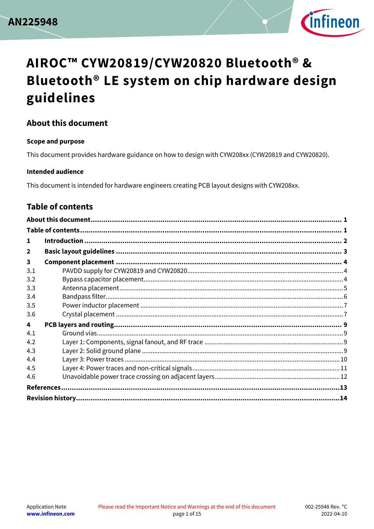



#### <span id="page-0-0"></span>**About this document**

#### **Scope and purpose**

This document provides hardware guidance on how to design with CYW208xx (CYW20819 and CYW20820).

#### **Intended audience**

This document is intended for hardware engineers creating PCB layout designs with CYW208xx.

#### <span id="page-0-1"></span>**Table of contents**

| 1            |  |  |  |  |  |
|--------------|--|--|--|--|--|
| $\mathbf{2}$ |  |  |  |  |  |
| 3            |  |  |  |  |  |
| 3.1          |  |  |  |  |  |
| 3.2          |  |  |  |  |  |
| 3.3          |  |  |  |  |  |
| 3.4          |  |  |  |  |  |
| 3.5          |  |  |  |  |  |
| 3.6          |  |  |  |  |  |
| 4            |  |  |  |  |  |
| 4.1          |  |  |  |  |  |
| 4.2          |  |  |  |  |  |
| 4.3          |  |  |  |  |  |
| 4.4          |  |  |  |  |  |
| 4.5          |  |  |  |  |  |
| 4.6          |  |  |  |  |  |
|              |  |  |  |  |  |
|              |  |  |  |  |  |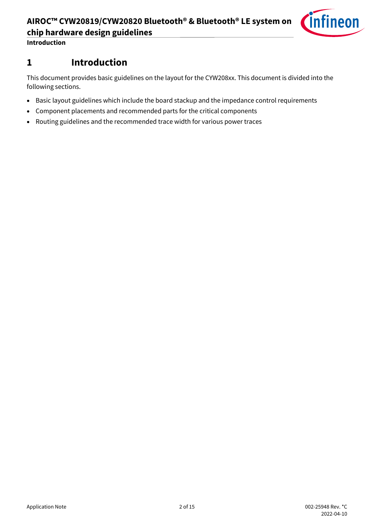**Introduction**

## <span id="page-1-0"></span>**1 Introduction**

This document provides basic guidelines on the layout for the CYW208xx. This document is divided into the following sections.

- Basic layout guidelines which include the board stackup and the impedance control requirements
- Component placements and recommended parts for the critical components
- Routing guidelines and the recommended trace width for various power traces

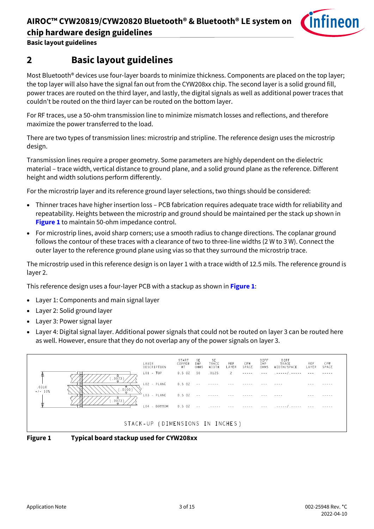

**Basic layout guidelines**

### <span id="page-2-0"></span>**2 Basic layout guidelines**

Most Bluetooth<sup>®</sup> devices use four-layer boards to minimize thickness. Components are placed on the top layer; the top layer will also have the signal fan out from the CYW208xx chip. The second layer is a solid ground fill, power traces are routed on the third layer, and lastly, the digital signals as well as additional power traces that couldn't be routed on the third layer can be routed on the bottom layer.

For RF traces, use a 50‐ohm transmission line to minimize mismatch losses and reflections, and therefore maximize the power transferred to the load.

There are two types of transmission lines: microstrip and stripline. The reference design uses the microstrip design.

Transmission lines require a proper geometry. Some parameters are highly dependent on the dielectric material – trace width, vertical distance to ground plane, and a solid ground plane as the reference. Different height and width solutions perform differently.

For the microstrip layer and its reference ground layer selections, two things should be considered:

- Thinner traces have higher insertion loss PCB fabrication requires adequate trace width for reliability and repeatability. Heights between the microstrip and ground should be maintained per the stack up shown in **[Figure 1](#page-2-1)** to maintain 50-ohm impedance control.
- For microstrip lines, avoid sharp corners; use a smooth radius to change directions. The coplanar ground follows the contour of these traces with a clearance of two to three-line widths (2 W to 3 W). Connect the outer layer to the reference ground plane using vias so that they surround the microstrip trace.

The microstrip used in this reference design is on layer 1 with a trace width of 12.5 mils. The reference ground is layer 2.

This reference design uses a four‐layer PCB with a stackup as shown in **[Figure](#page-2-1) 1**:

- Layer 1: Components and main signal layer
- Layer 2: Solid ground layer
- Layer 3: Power signal layer
- Layer 4: Digital signal layer. Additional power signals that could not be routed on layer 3 can be routed here as well. However, ensure that they do not overlap any of the power signals on layer 3.



<span id="page-2-1"></span>**Figure 1 Typical board stackup used for CYW208xx**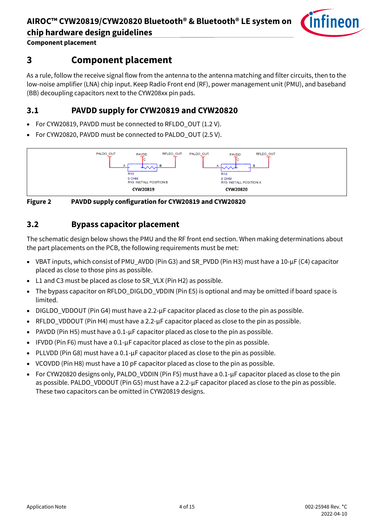

**Component placement**

### <span id="page-3-0"></span>**3 Component placement**

As a rule, follow the receive signal flow from the antenna to the antenna matching and filter circuits, then to the low-noise amplifier (LNA) chip input. Keep Radio Front end (RF), power management unit (PMU), and baseband (BB) decoupling capacitors next to the CYW208xx pin pads.

### <span id="page-3-1"></span>**3.1 PAVDD supply for CYW20819 and CYW20820**

- For CYW20819, PAVDD must be connected to RFLDO\_OUT (1.2 V).
- For CYW20820, PAVDD must be connected to PALDO\_OUT (2.5 V).



**Figure 2 PAVDD supply configuration for CYW20819 and CYW20820**

#### <span id="page-3-2"></span>**3.2 Bypass capacitor placement**

The schematic design below shows the PMU and the RF front end section. When making determinations about the part placements on the PCB, the following requirements must be met:

- VBAT inputs, which consist of PMU\_AVDD (Pin G3) and SR\_PVDD (Pin H3) must have a 10-µF (C4) capacitor placed as close to those pins as possible.
- L1 and C3 must be placed as close to SR\_VLX (Pin H2) as possible.
- The bypass capacitor on RFLDO\_DIGLDO\_VDDIN (Pin E5) is optional and may be omitted if board space is limited.
- DIGLDO\_VDDOUT (Pin G4) must have a  $2.2$ - $\mu$ F capacitor placed as close to the pin as possible.
- RFLDO\_VDDOUT (Pin H4) must have a 2.2-µF capacitor placed as close to the pin as possible.
- PAVDD (Pin H5) must have a 0.1-µF capacitor placed as close to the pin as possible.
- IFVDD (Pin F6) must have a 0.1-µF capacitor placed as close to the pin as possible.
- PLLVDD (Pin G8) must have a 0.1-µF capacitor placed as close to the pin as possible.
- VCOVDD (Pin H8) must have a 10 pF capacitor placed as close to the pin as possible.
- For CYW20820 designs only, PALDO\_VDDIN (Pin F5) must have a 0.1-µF capacitor placed as close to the pin as possible. PALDO\_VDDOUT (Pin G5) must have a 2.2-µF capacitor placed as close to the pin as possible. These two capacitors can be omitted in CYW20819 designs.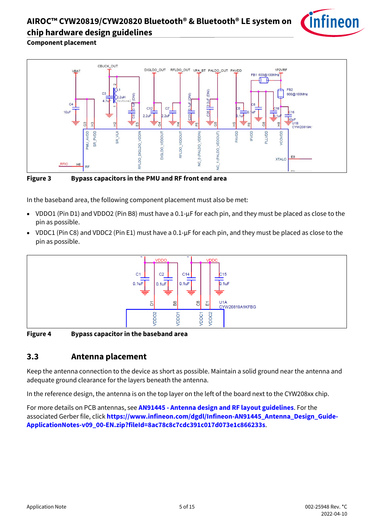

#### **Component placement**



**Figure 3 Bypass capacitors in the PMU and RF front end area**

In the baseband area, the following component placement must also be met:

- VDDO1 (Pin D1) and VDDO2 (Pin B8) must have a 0.1-µF for each pin, and they must be placed as close to the pin as possible.
- VDDC1 (Pin C8) and VDDC2 (Pin E1) must have a 0.1-µF for each pin, and they must be placed as close to the pin as possible.



**Figure 4 Bypass capacitor in the baseband area**

#### <span id="page-4-0"></span>**3.3 Antenna placement**

Keep the antenna connection to the device as short as possible. Maintain a solid ground near the antenna and adequate ground clearance for the layers beneath the antenna.

In the reference design, the antenna is on the top layer on the left of the board next to the CYW208xx chip.

For more details on PCB antennas, see **AN91445 - [Antenna design and RF layout guidelines](https://www.infineon.com/dgdl/Infineon-AN91445_Antenna_Design_and_RF_Layout_Guidelines-ApplicationNotes-v09_00-EN.pdf?fileId=8ac78c8c7cdc391c017d073e054f6227&utm_source=cypress&utm_medium=referral&utm_campaign=202110_globe_en_all_integration-application_note)**. For the associated Gerber file, click **[https://www.infineon.com/dgdl/Infineon-AN91445\\_Antenna\\_Design\\_Guide-](https://www.infineon.com/dgdl/Infineon-AN91445_Antenna_Design_Guide-ApplicationNotes-v09_00-EN.zip?fileId=8ac78c8c7cdc391c017d073e1c866233)[ApplicationNotes-v09\\_00-EN.zip?fileId=8ac78c8c7cdc391c017d073e1c866233s](https://www.infineon.com/dgdl/Infineon-AN91445_Antenna_Design_Guide-ApplicationNotes-v09_00-EN.zip?fileId=8ac78c8c7cdc391c017d073e1c866233)**.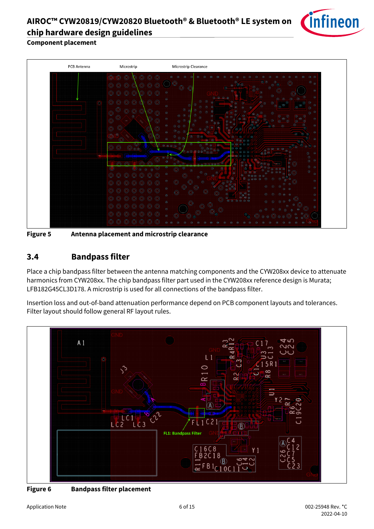

**Component placement**



**Figure 5 Antenna placement and microstrip clearance**

#### <span id="page-5-0"></span>**3.4 Bandpass filter**

Place a chip bandpass filter between the antenna matching components and the CYW208xx device to attenuate harmonics from CYW208xx. The chip bandpass filter part used in the CYW208xx reference design is Murata; LFB182G45CL3D178. A microstrip is used for all connections of the bandpass filter.

Insertion loss and out-of-band attenuation performance depend on PCB component layouts and tolerances. Filter layout should follow general RF layout rules.



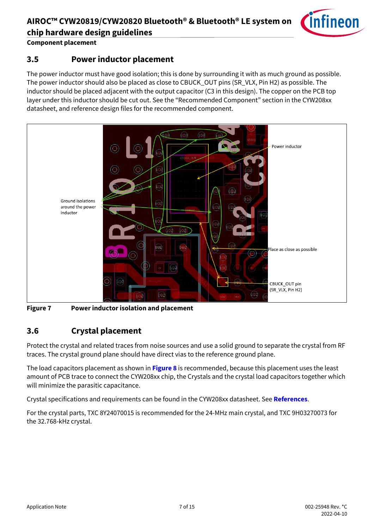

**Component placement**

#### <span id="page-6-0"></span>**3.5 Power inductor placement**

The power inductor must have good isolation; this is done by surrounding it with as much ground as possible. The power inductor should also be placed as close to CBUCK\_OUT pins (SR\_VLX, Pin H2) as possible. The inductor should be placed adjacent with the output capacitor (C3 in this design). The copper on the PCB top layer under this inductor should be cut out. See the "Recommended Component" section in the CYW208xx datasheet, and reference design files for the recommended component.



**Figure 7 Power inductor isolation and placement**

#### <span id="page-6-1"></span>**3.6 Crystal placement**

Protect the crystal and related traces from noise sources and use a solid ground to separate the crystal from RF traces. The crystal ground plane should have direct vias to the reference ground plane.

The load capacitors placement as shown in **[Figure 8](#page-7-0)** is recommended, because this placement uses the least amount of PCB trace to connect the CYW208xx chip, the Crystals and the crystal load capacitors together which will minimize the parasitic capacitance.

Crystal specifications and requirements can be found in the CYW208xx datasheet. See **[References](#page-12-0)**.

For the crystal parts, TXC 8Y24070015 is recommended for the 24-MHz main crystal, and TXC 9H03270073 for the 32.768-kHz crystal.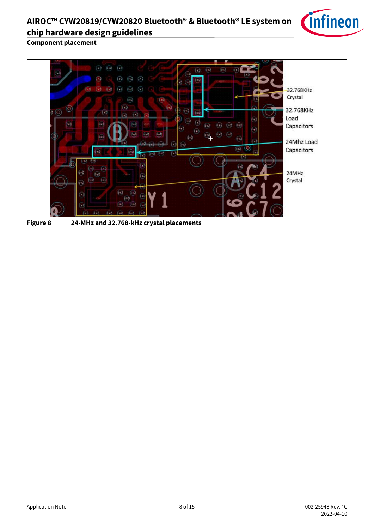

**Component placement**



<span id="page-7-0"></span>**Figure 8 24-MHz and 32.768-kHz crystal placements**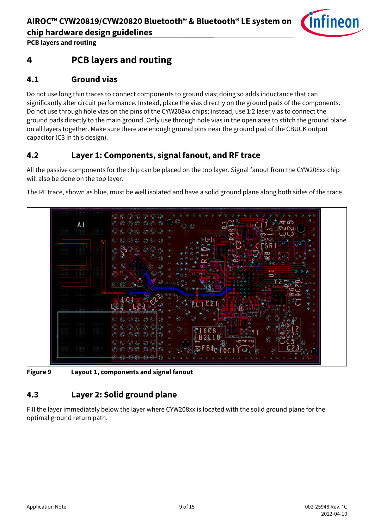

**PCB layers and routing**

### <span id="page-8-0"></span>**4 PCB layers and routing**

#### <span id="page-8-1"></span>**4.1 Ground vias**

Do not use long thin traces to connect components to ground vias; doing so adds inductance that can significantly alter circuit performance. Instead, place the vias directly on the ground pads of the components. Do not use through hole vias on the pins of the CYW208xx chips; instead, use 1:2 laser vias to connect the ground pads directly to the main ground. Only use through hole vias in the open area to stitch the ground plane on all layers together. Make sure there are enough ground pins near the ground pad of the CBUCK output capacitor (C3 in this design).

#### <span id="page-8-2"></span>**4.2 Layer 1: Components, signal fanout, and RF trace**

All the passive components for the chip can be placed on the top layer. Signal fanout from the CYW208xx chip will also be done on the top layer.

The RF trace, shown as blue, must be well isolated and have a solid ground plane along both sides of the trace.



**Figure 9 Layout 1, components and signal fanout**

#### <span id="page-8-3"></span>**4.3 Layer 2: Solid ground plane**

Fill the layer immediately below the layer where CYW208xx is located with the solid ground plane for the optimal ground return path.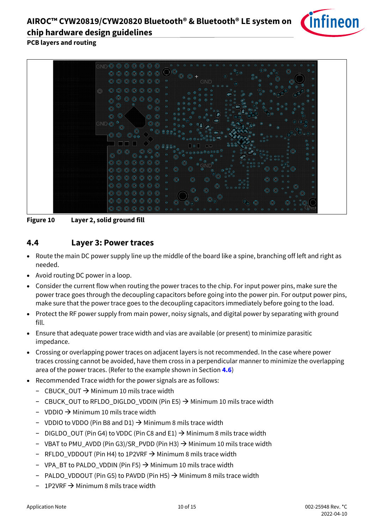

#### **PCB layers and routing**



**Figure 10 Layer 2, solid ground fill**

#### <span id="page-9-0"></span>**4.4 Layer 3: Power traces**

- Route the main DC power supply line up the middle of the board like a spine, branching off left and right as needed.
- Avoid routing DC power in a loop.
- Consider the current flow when routing the power traces to the chip. For input power pins, make sure the power trace goes through the decoupling capacitors before going into the power pin. For output power pins, make sure that the power trace goes to the decoupling capacitors immediately before going to the load.
- Protect the RF power supply from main power, noisy signals, and digital power by separating with ground fill.
- Ensure that adequate power trace width and vias are available (or present) to minimize parasitic impedance.
- Crossing or overlapping power traces on adjacent layers is not recommended. In the case where power traces crossing cannot be avoided, have them cross in a perpendicular manner to minimize the overlapping area of the power traces. (Refer to the example shown in Section **[4.6](#page-11-0)**)
- Recommended Trace width for the power signals are as follows:
	- − CBUCK\_OUT → Minimum 10 mils trace width
	- − CBUCK\_OUT to RFLDO\_DIGLDO\_VDDIN (Pin E5) → Minimum 10 mils trace width
	- − VDDIO → Minimum 10 mils trace width
	- − VDDIO to VDDO (Pin B8 and D1) → Minimum 8 mils trace width
	- − DIGLDO\_OUT (Pin G4) to VDDC (Pin C8 and E1) → Minimum 8 mils trace width
	- − VBAT to PMU\_AVDD (Pin G3)/SR\_PVDD (Pin H3) → Minimum 10 mils trace width
	- − RFLDO\_VDDOUT (Pin H4) to 1P2VRF → Minimum 8 mils trace width
	- − VPA\_BT to PALDO\_VDDIN (Pin F5) → Minimum 10 mils trace width
	- − PALDO\_VDDOUT (Pin G5) to PAVDD (Pin H5) → Minimum 8 mils trace width
	- 1P2VRF → Minimum 8 mils trace width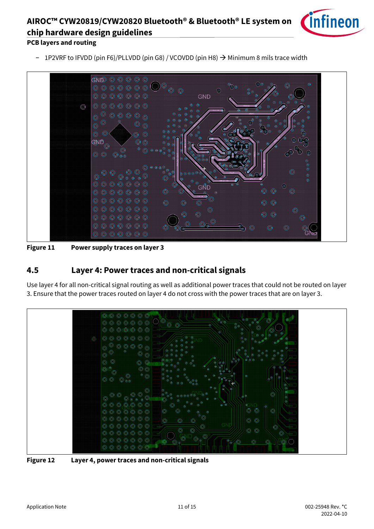

#### **PCB layers and routing**

− 1P2VRF to IFVDD (pin F6)/PLLVDD (pin G8) / VCOVDD (pin H8) → Minimum 8 mils trace width



**Figure 11 Power supply traces on layer 3**

#### <span id="page-10-0"></span>**4.5 Layer 4: Power traces and non-critical signals**

Use layer 4 for all non-critical signal routing as well as additional power traces that could not be routed on layer 3. Ensure that the power traces routed on layer 4 do not cross with the power traces that are on layer 3.



**Figure 12 Layer 4, power traces and non-critical signals**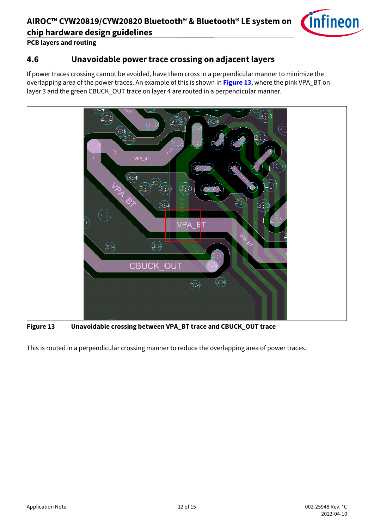

**PCB layers and routing**

#### <span id="page-11-0"></span>**4.6 Unavoidable power trace crossing on adjacent layers**

If power traces crossing cannot be avoided, have them cross in a perpendicular manner to minimize the overlapping area of the power traces. An example of this is shown in **[Figure 13](#page-11-1)**, where the pink VPA\_BT on layer 3 and the green CBUCK\_OUT trace on layer 4 are routed in a perpendicular manner.



<span id="page-11-1"></span>**Figure 13 Unavoidable crossing between VPA\_BT trace and CBUCK\_OUT trace**

This is routed in a perpendicular crossing manner to reduce the overlapping area of power traces.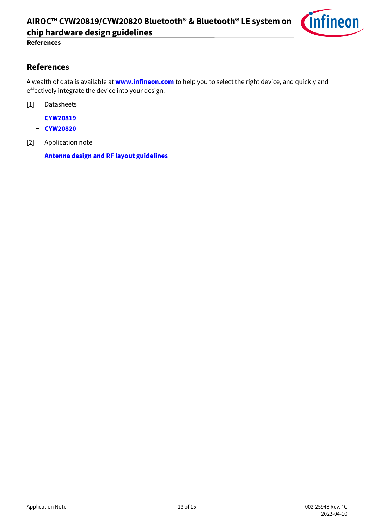

#### **References**

#### <span id="page-12-0"></span>**References**

A wealth of data is available at **[www.infineon.com](http://www.infineon.com/)** to help you to select the right device, and quickly and effectively integrate the device into your design.

- [1] [Datasheets](http://www.cypress.com/search/all/PSoC%20Datasheets?f%5b0%5d=meta_type%3Atechnical_documents&f%5b1%5d=field_related_products%3A88886&f%5b2%5d=resource_meta_type%3A575)
	- − **[CYW20819](https://www.infineon.com/dgdl/Infineon-CYW20819_Ultra_Low_Power_Bluetooth_LE_BR_EDR_Bluetooth_5.0_SoC-AdditionalTechnicalInformation-v07_00-EN.pdf?fileId=8ac78c8c7d0d8da4017d0ee7dba070bf&utm_source=cypress&utm_medium=referral&utm_campaign=202110_globe_en_all_integration-datasheet)**
	- − **[CYW20820](https://www.infineon.com/dgdl/Infineon-CYW20820_Ultra_Low_Power_Bluetooth_LE_BR_EDR_Bluetooth_5.0_SoC-AdditionalTechnicalInformation-v06_00-EN.pdf?fileId=8ac78c8c7d0d8da4017d0ee7e70770d1&utm_source=cypress&utm_medium=referral&utm_campaign=202110_globe_en_all_integration-datasheet)**
- [2] Application note
	- − **[Antenna design and RF layout guidelines](https://www.infineon.com/dgdl/Infineon-AN91445_Antenna_Design_and_RF_Layout_Guidelines-ApplicationNotes-v09_00-EN.pdf?fileId=8ac78c8c7cdc391c017d073e054f6227&utm_source=cypress&utm_medium=referral&utm_campaign=202110_globe_en_all_integration-application_note)**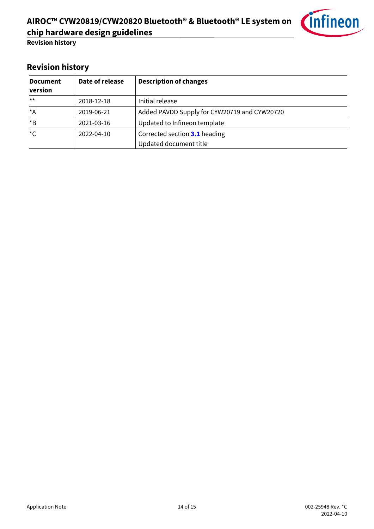

**Revision history**

## <span id="page-13-0"></span>**Revision history**

| <b>Document</b><br>version | Date of release | <b>Description of changes</b>                |
|----------------------------|-----------------|----------------------------------------------|
| $***$                      | 2018-12-18      | Initial release                              |
| $^{\star}$ A               | 2019-06-21      | Added PAVDD Supply for CYW20719 and CYW20720 |
| $*_{\mathsf{B}}$           | 2021-03-16      | Updated to Infineon template                 |
| $^{\star}$ C               | 2022-04-10      | Corrected section 3.1 heading                |
|                            |                 | Updated document title                       |